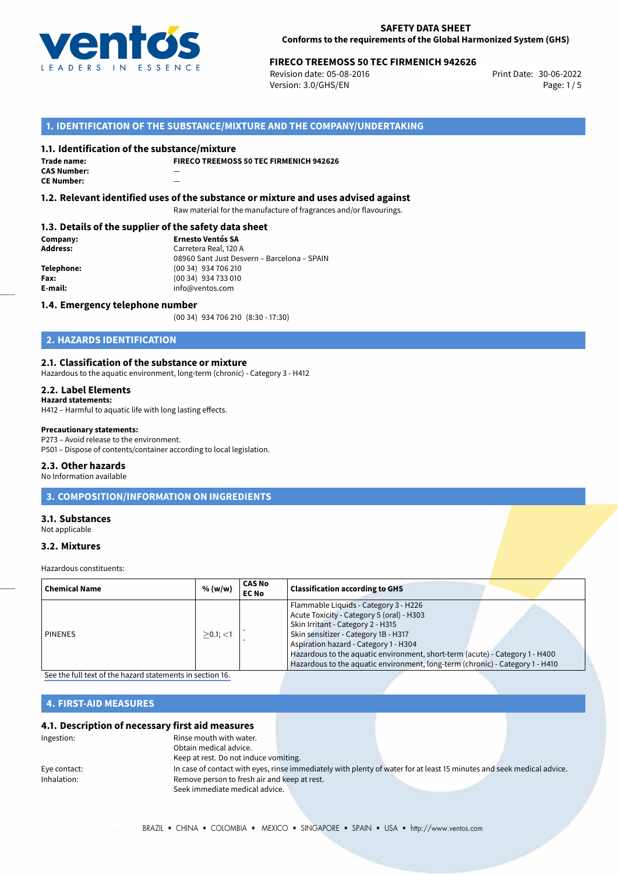

# 30-06-2022 **FIRECO TREEMOSS 50 TEC FIRMENICH 942626**

Revision date: 05-08-2016 Version: 3.0/GHS/EN Page: 1/5

## **1. IDENTIFICATION OF THE SUBSTANCE/MIXTURE AND THE COMPANY/UNDERTAKING**

### **1.1. Identification of the substance/mixture**

**Trade name: CAS Number:** — **CE Number:** 

**FIRECO TREEMOSS 50 TEC FIRMENICH 942626**

**1.2. Relevant identified uses of the substance or mixture and uses advised against**

Raw material for the manufacture of fragrances and/or flavourings.

## **1.3. Details of the supplier of the safety data sheet**

**Company: Ernesto Ventós SA Address:** Carretera Real, 120 A 08960 Sant Just Desvern – Barcelona – SPAIN **Telephone:** (00 34) 934 706 210 **Fax:** (00 34) 934 733 010<br> **E-mail: E-mail:** info@ventos.com **E-mail:** info@ventos.com

### **1.4. Emergency telephone number**

(00 34) 934 706 210 (8:30 - 17:30)

# **2. HAZARDS IDENTIFICATION**

### **2.1. Classification of the substance or mixture**

Hazardous to the aquatic environment, long-term (chronic) - Category 3 - H412

### **2.2. Label Elements**

**Hazard statements:**

H412 – Harmful to aquatic life with long lasting effects.

#### **Precautionary statements:**

P273 – Avoid release to the environment. P501 – Dispose of contents/container according to local legislation.

### **2.3. Other hazards**

No Information available

# **3. COMPOSITION/INFORMATION ON INGREDIENTS**

## **3.1. Substances**

Not applicable

### **3.2. Mixtures**

Hazardous constituents:

| Flammable Liquids - Category 3 - H226<br>Acute Toxicity - Category 5 (oral) - H303<br>Skin Irritant - Category 2 - H315<br>Skin sensitizer - Category 1B - H317<br><b>PINENES</b><br>$>0.1$ ; $<$ 1<br>Aspiration hazard - Category 1 - H304<br>Hazardous to the aquatic environment, short-term (acute) - Category 1 - H400<br>Hazardous to the aquatic environment, long-term (chronic) - Category 1 - H410 | <b>Chemical Name</b> | % (w/w) | <b>CAS No</b><br><b>EC No</b> | <b>Classification according to GHS</b> |
|---------------------------------------------------------------------------------------------------------------------------------------------------------------------------------------------------------------------------------------------------------------------------------------------------------------------------------------------------------------------------------------------------------------|----------------------|---------|-------------------------------|----------------------------------------|
|                                                                                                                                                                                                                                                                                                                                                                                                               |                      |         |                               |                                        |

[See the full text of the hazard statements in section 16.](#page--1-0)

## **4. FIRST-AID MEASURES**

### **4.1. Description of necessary first aid measures**

| Ingestion:   | Rinse mouth with water.                      |                                                                                                                       |  |
|--------------|----------------------------------------------|-----------------------------------------------------------------------------------------------------------------------|--|
|              | Obtain medical advice.                       |                                                                                                                       |  |
|              | Keep at rest. Do not induce vomiting.        |                                                                                                                       |  |
| Eye contact: |                                              | In case of contact with eyes, rinse immediately with plenty of water for at least 15 minutes and seek medical advice. |  |
| Inhalation:  | Remove person to fresh air and keep at rest. |                                                                                                                       |  |
|              | Seek immediate medical advice.               |                                                                                                                       |  |
|              |                                              |                                                                                                                       |  |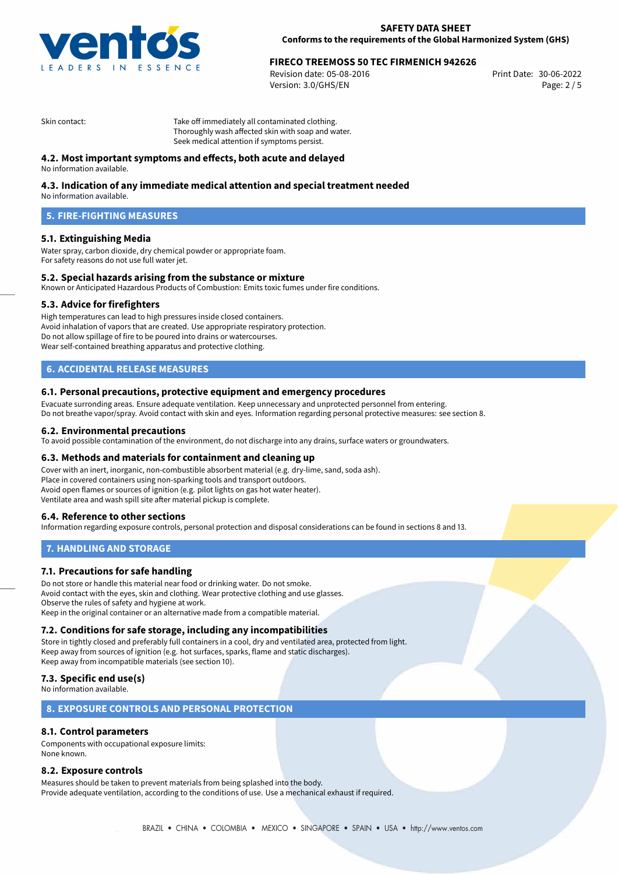

# 30-06-2022 **FIRECO TREEMOSS 50 TEC FIRMENICH 942626**

Revision date: 05-08-2016 Version: 3.0/GHS/EN Page: 2 / 5

Skin contact: Take off immediately all contaminated clothing. Thoroughly wash affected skin with soap and water. Seek medical attention if symptoms persist.

## **4.2. Most important symptoms and effects, both acute and delayed**

No information available.

## **4.3. Indication of any immediate medical attention and special treatment needed**

No information available.

## **5. FIRE-FIGHTING MEASURES**

## **5.1. Extinguishing Media**

Water spray, carbon dioxide, dry chemical powder or appropriate foam. For safety reasons do not use full water jet.

## **5.2. Special hazards arising from the substance or mixture**

Known or Anticipated Hazardous Products of Combustion: Emits toxic fumes under fire conditions.

### **5.3. Advice for firefighters**

High temperatures can lead to high pressures inside closed containers. Avoid inhalation of vapors that are created. Use appropriate respiratory protection. Do not allow spillage of fire to be poured into drains or watercourses. Wear self-contained breathing apparatus and protective clothing.

## **6. ACCIDENTAL RELEASE MEASURES**

### **6.1. Personal precautions, protective equipment and emergency procedures**

Evacuate surronding areas. Ensure adequate ventilation. Keep unnecessary and unprotected personnel from entering. Do not breathe vapor/spray. Avoid contact with skin and eyes. Information regarding personal protective measures: see section 8.

### **6.2. Environmental precautions**

To avoid possible contamination of the environment, do not discharge into any drains, surface waters or groundwaters.

### **6.3. Methods and materials for containment and cleaning up**

Cover with an inert, inorganic, non-combustible absorbent material (e.g. dry-lime, sand, soda ash). Place in covered containers using non-sparking tools and transport outdoors. Avoid open flames or sources of ignition (e.g. pilot lights on gas hot water heater). Ventilate area and wash spill site after material pickup is complete.

## **6.4. Reference to other sections**

Information regarding exposure controls, personal protection and disposal considerations can be found in sections 8 and 13.

## **7. HANDLING AND STORAGE**

## **7.1. Precautions for safe handling**

Do not store or handle this material near food or drinking water. Do not smoke. Avoid contact with the eyes, skin and clothing. Wear protective clothing and use glasses. Observe the rules of safety and hygiene at work. Keep in the original container or an alternative made from a compatible material.

## **7.2. Conditions for safe storage, including any incompatibilities**

Store in tightly closed and preferably full containers in a cool, dry and ventilated area, protected from light. Keep away from sources of ignition (e.g. hot surfaces, sparks, flame and static discharges). Keep away from incompatible materials (see section 10).

## **7.3. Specific end use(s)**

No information available.

## **8. EXPOSURE CONTROLS AND PERSONAL PROTECTION**

## **8.1. Control parameters**

Components with occupational exposure limits: None known.

## **8.2. Exposure controls**

Measures should be taken to prevent materials from being splashed into the body. Provide adequate ventilation, according to the conditions of use. Use a mechanical exhaust if required.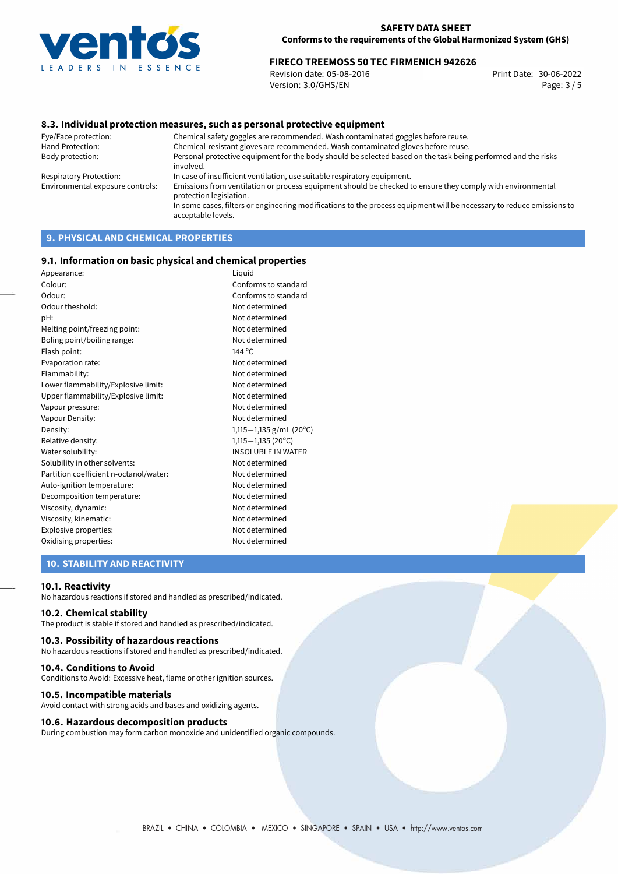

# 30-06-2022 **FIRECO TREEMOSS 50 TEC FIRMENICH 942626**

Revision date: 05-08-2016 Version: 3.0/GHS/EN Page: 3 / 5

## **8.3. Individual protection measures, such as personal protective equipment**

Eye/Face protection: Chemical safety goggles are recommended. Wash contaminated goggles before reuse. Chemical-resistant gloves are recommended. Wash contaminated gloves before reuse. Body protection: Personal protective equipment for the body should be selected based on the task being performed and the risks involved. Respiratory Protection: In case of insufficient ventilation, use suitable respiratory equipment. Environmental exposure controls: Emissions from ventilation or process equipment should be checked to ensure they comply with environmental protection legislation. In some cases, filters or engineering modifications to the process equipment will be necessary to reduce emissions to acceptable levels.

# **9. PHYSICAL AND CHEMICAL PROPERTIES**

### **9.1. Information on basic physical and chemical properties**

| Appearance:                            | Liquid                    |
|----------------------------------------|---------------------------|
| Colour:                                | Conforms to standard      |
| Odour:                                 | Conforms to standard      |
| Odour theshold:                        | Not determined            |
| pH:                                    | Not determined            |
| Melting point/freezing point:          | Not determined            |
| Boling point/boiling range:            | Not determined            |
| Flash point:                           | 144 °C                    |
| Evaporation rate:                      | Not determined            |
| Flammability:                          | Not determined            |
| Lower flammability/Explosive limit:    | Not determined            |
| Upper flammability/Explosive limit:    | Not determined            |
| Vapour pressure:                       | Not determined            |
| Vapour Density:                        | Not determined            |
| Density:                               | 1,115-1,135 g/mL (20°C)   |
| Relative density:                      | $1,115-1,135(20°C)$       |
| Water solubility:                      | <b>INSOLUBLE IN WATER</b> |
| Solubility in other solvents:          | Not determined            |
| Partition coefficient n-octanol/water: | Not determined            |
| Auto-ignition temperature:             | Not determined            |
| Decomposition temperature:             | Not determined            |
| Viscosity, dynamic:                    | Not determined            |
| Viscosity, kinematic:                  | Not determined            |
| Explosive properties:                  | Not determined            |
| Oxidising properties:                  | Not determined            |
|                                        |                           |

## **10. STABILITY AND REACTIVITY**

### **10.1. Reactivity**

No hazardous reactions if stored and handled as prescribed/indicated.

## **10.2. Chemical stability**

The product is stable if stored and handled as prescribed/indicated.

### **10.3. Possibility of hazardous reactions**

No hazardous reactions if stored and handled as prescribed/indicated.

#### **10.4. Conditions to Avoid**

Conditions to Avoid: Excessive heat, flame or other ignition sources.

### **10.5. Incompatible materials**

Avoid contact with strong acids and bases and oxidizing agents.

## **10.6. Hazardous decomposition products**

During combustion may form carbon monoxide and unidentified organic compounds.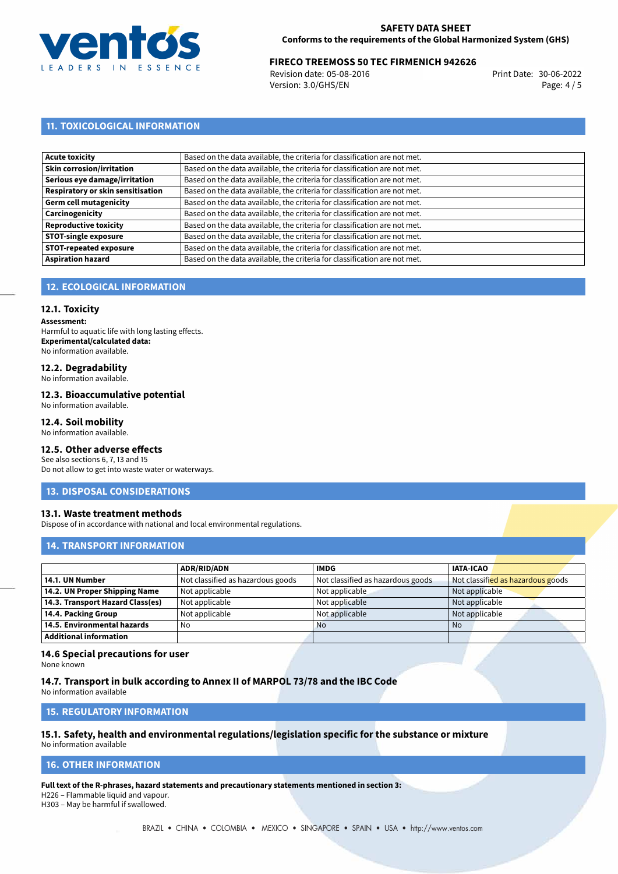

# 30-06-2022 **FIRECO TREEMOSS 50 TEC FIRMENICH 942626**

Revision date: 05-08-2016 Version: 3.0/GHS/EN Page: 4 / 5

## **11. TOXICOLOGICAL INFORMATION**

| Acute toxicity                    | Based on the data available, the criteria for classification are not met. |
|-----------------------------------|---------------------------------------------------------------------------|
| Skin corrosion/irritation         | Based on the data available, the criteria for classification are not met. |
| Serious eye damage/irritation     | Based on the data available, the criteria for classification are not met. |
| Respiratory or skin sensitisation | Based on the data available, the criteria for classification are not met. |
| Germ cell mutagenicity            | Based on the data available, the criteria for classification are not met. |
| Carcinogenicity                   | Based on the data available, the criteria for classification are not met. |
| Reproductive toxicity             | Based on the data available, the criteria for classification are not met. |
| STOT-single exposure              | Based on the data available, the criteria for classification are not met. |
| <b>STOT-repeated exposure</b>     | Based on the data available, the criteria for classification are not met. |
| <b>Aspiration hazard</b>          | Based on the data available, the criteria for classification are not met. |

## **12. ECOLOGICAL INFORMATION**

### **12.1. Toxicity**

**Assessment:** Harmful to aquatic life with long lasting effects. **Experimental/calculated data:** No information available.

# **12.2. Degradability**

No information available.

### **12.3. Bioaccumulative potential**

No information available.

## **12.4. Soil mobility**

No information available.

# **12.5. Other adverse effects**

See also sections 6, 7, 13 and 15 Do not allow to get into waste water or waterways.

### **13. DISPOSAL CONSIDERATIONS**

### **13.1. Waste treatment methods**

Dispose of in accordance with national and local environmental regulations.

## **14. TRANSPORT INFORMATION**

|                                  | <b>ADR/RID/ADN</b>                | <b>IMDG</b>                       | <b>IATA-ICAO</b>                  |
|----------------------------------|-----------------------------------|-----------------------------------|-----------------------------------|
| 14.1. UN Number                  | Not classified as hazardous goods | Not classified as hazardous goods | Not classified as hazardous goods |
| 14.2. UN Proper Shipping Name    | Not applicable                    | Not applicable                    | Not applicable                    |
| 14.3. Transport Hazard Class(es) | Not applicable                    | Not applicable                    | Not applicable                    |
| 14.4. Packing Group              | Not applicable                    | Not applicable                    | Not applicable                    |
| 14.5. Environmental hazards      | No                                | <b>No</b>                         | No                                |
| <b>Additional information</b>    |                                   |                                   |                                   |

### **14.6 Special precautions for user**

None known

## **14.7. Transport in bulk according to Annex II of MARPOL 73/78 and the IBC Code**

No information available

## **15. REGULATORY INFORMATION**

#### **15.1. Safety, health and environmental regulations/legislation specific for the substance or mixture** No information available

## **16. OTHER INFORMATION**

**Full text of the R-phrases, hazard statements and precautionary statements mentioned in section 3:**

H226 – Flammable liquid and vapour.